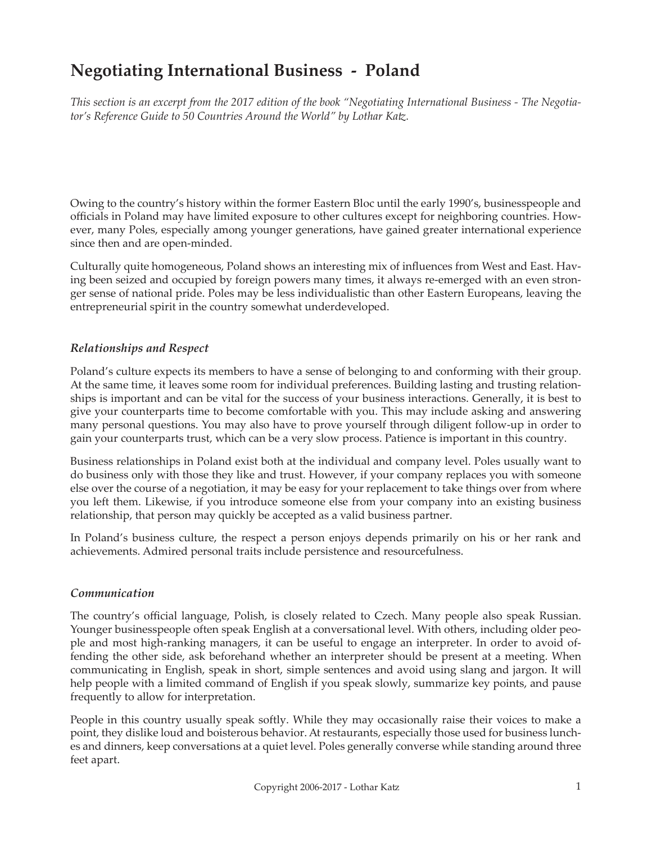# **Negotiating International Business - Poland**

*This section is an excerpt from the 2017 edition of the book "Negotiating International Business - The Negotiator's Reference Guide to 50 Countries Around the World" by Lothar Katz.*

Owing to the country's history within the former Eastern Bloc until the early 1990's, businesspeople and officials in Poland may have limited exposure to other cultures except for neighboring countries. However, many Poles, especially among younger generations, have gained greater international experience since then and are open-minded.

Culturally quite homogeneous, Poland shows an interesting mix of influences from West and East. Having been seized and occupied by foreign powers many times, it always re-emerged with an even stronger sense of national pride. Poles may be less individualistic than other Eastern Europeans, leaving the entrepreneurial spirit in the country somewhat underdeveloped.

## *Relationships and Respect*

Poland's culture expects its members to have a sense of belonging to and conforming with their group. At the same time, it leaves some room for individual preferences. Building lasting and trusting relationships is important and can be vital for the success of your business interactions. Generally, it is best to give your counterparts time to become comfortable with you. This may include asking and answering many personal questions. You may also have to prove yourself through diligent follow-up in order to gain your counterparts trust, which can be a very slow process. Patience is important in this country.

Business relationships in Poland exist both at the individual and company level. Poles usually want to do business only with those they like and trust. However, if your company replaces you with someone else over the course of a negotiation, it may be easy for your replacement to take things over from where you left them. Likewise, if you introduce someone else from your company into an existing business relationship, that person may quickly be accepted as a valid business partner.

In Poland's business culture, the respect a person enjoys depends primarily on his or her rank and achievements. Admired personal traits include persistence and resourcefulness.

#### *Communication*

The country's official language, Polish, is closely related to Czech. Many people also speak Russian. Younger businesspeople often speak English at a conversational level. With others, including older people and most high-ranking managers, it can be useful to engage an interpreter. In order to avoid offending the other side, ask beforehand whether an interpreter should be present at a meeting. When communicating in English, speak in short, simple sentences and avoid using slang and jargon. It will help people with a limited command of English if you speak slowly, summarize key points, and pause frequently to allow for interpretation.

People in this country usually speak softly. While they may occasionally raise their voices to make a point, they dislike loud and boisterous behavior. At restaurants, especially those used for business lunches and dinners, keep conversations at a quiet level. Poles generally converse while standing around three feet apart.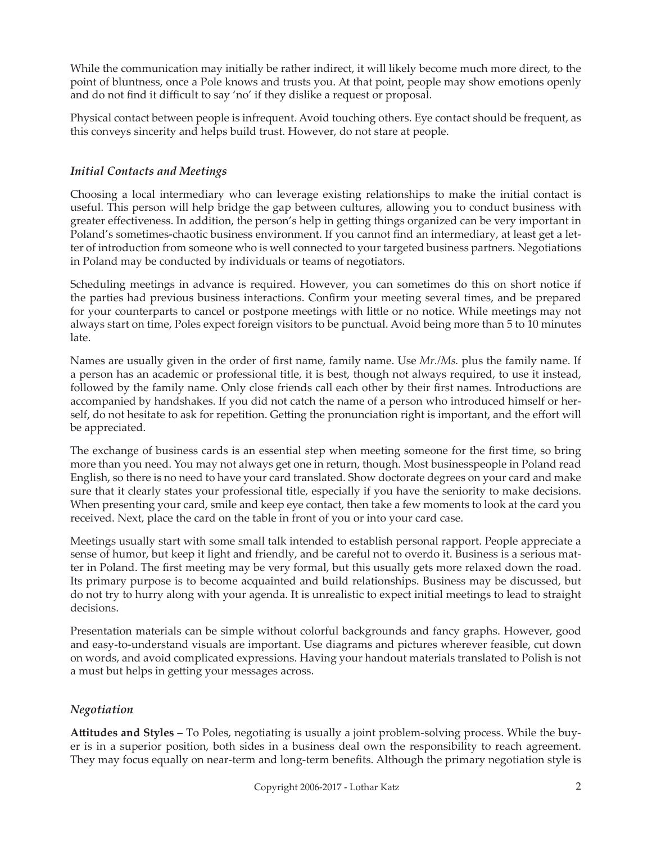While the communication may initially be rather indirect, it will likely become much more direct, to the point of bluntness, once a Pole knows and trusts you. At that point, people may show emotions openly and do not find it difficult to say 'no' if they dislike a request or proposal.

Physical contact between people is infrequent. Avoid touching others. Eye contact should be frequent, as this conveys sincerity and helps build trust. However, do not stare at people.

## *Initial Contacts and Meetings*

Choosing a local intermediary who can leverage existing relationships to make the initial contact is useful. This person will help bridge the gap between cultures, allowing you to conduct business with greater effectiveness. In addition, the person's help in getting things organized can be very important in Poland's sometimes-chaotic business environment. If you cannot find an intermediary, at least get a letter of introduction from someone who is well connected to your targeted business partners. Negotiations in Poland may be conducted by individuals or teams of negotiators.

Scheduling meetings in advance is required. However, you can sometimes do this on short notice if the parties had previous business interactions. Confirm your meeting several times, and be prepared for your counterparts to cancel or postpone meetings with little or no notice. While meetings may not always start on time, Poles expect foreign visitors to be punctual. Avoid being more than 5 to 10 minutes late.

Names are usually given in the order of first name, family name. Use *Mr./Ms.* plus the family name. If a person has an academic or professional title, it is best, though not always required, to use it instead, followed by the family name. Only close friends call each other by their first names. Introductions are accompanied by handshakes. If you did not catch the name of a person who introduced himself or herself, do not hesitate to ask for repetition. Getting the pronunciation right is important, and the effort will be appreciated.

The exchange of business cards is an essential step when meeting someone for the first time, so bring more than you need. You may not always get one in return, though. Most businesspeople in Poland read English, so there is no need to have your card translated. Show doctorate degrees on your card and make sure that it clearly states your professional title, especially if you have the seniority to make decisions. When presenting your card, smile and keep eye contact, then take a few moments to look at the card you received. Next, place the card on the table in front of you or into your card case.

Meetings usually start with some small talk intended to establish personal rapport. People appreciate a sense of humor, but keep it light and friendly, and be careful not to overdo it. Business is a serious matter in Poland. The first meeting may be very formal, but this usually gets more relaxed down the road. Its primary purpose is to become acquainted and build relationships. Business may be discussed, but do not try to hurry along with your agenda. It is unrealistic to expect initial meetings to lead to straight decisions.

Presentation materials can be simple without colorful backgrounds and fancy graphs. However, good and easy-to-understand visuals are important. Use diagrams and pictures wherever feasible, cut down on words, and avoid complicated expressions. Having your handout materials translated to Polish is not a must but helps in getting your messages across.

## *Negotiation*

**Attitudes and Styles –** To Poles, negotiating is usually a joint problem-solving process. While the buyer is in a superior position, both sides in a business deal own the responsibility to reach agreement. They may focus equally on near-term and long-term benefits. Although the primary negotiation style is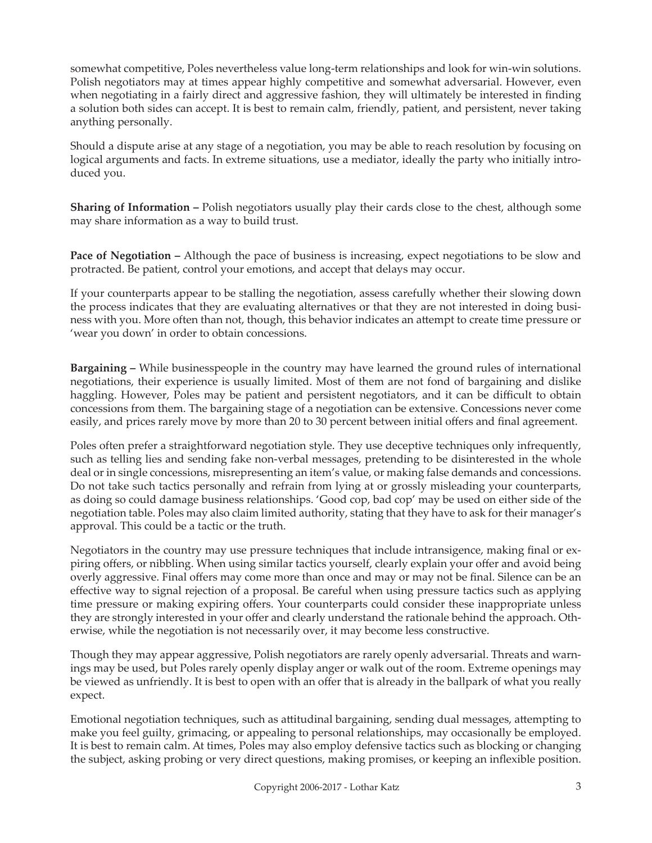somewhat competitive, Poles nevertheless value long-term relationships and look for win-win solutions. Polish negotiators may at times appear highly competitive and somewhat adversarial. However, even when negotiating in a fairly direct and aggressive fashion, they will ultimately be interested in finding a solution both sides can accept. It is best to remain calm, friendly, patient, and persistent, never taking anything personally.

Should a dispute arise at any stage of a negotiation, you may be able to reach resolution by focusing on logical arguments and facts. In extreme situations, use a mediator, ideally the party who initially introduced you.

**Sharing of Information –** Polish negotiators usually play their cards close to the chest, although some may share information as a way to build trust.

**Pace of Negotiation –** Although the pace of business is increasing, expect negotiations to be slow and protracted. Be patient, control your emotions, and accept that delays may occur.

If your counterparts appear to be stalling the negotiation, assess carefully whether their slowing down the process indicates that they are evaluating alternatives or that they are not interested in doing business with you. More often than not, though, this behavior indicates an attempt to create time pressure or 'wear you down' in order to obtain concessions.

**Bargaining –** While businesspeople in the country may have learned the ground rules of international negotiations, their experience is usually limited. Most of them are not fond of bargaining and dislike haggling. However, Poles may be patient and persistent negotiators, and it can be difficult to obtain concessions from them. The bargaining stage of a negotiation can be extensive. Concessions never come easily, and prices rarely move by more than 20 to 30 percent between initial offers and final agreement.

Poles often prefer a straightforward negotiation style. They use deceptive techniques only infrequently, such as telling lies and sending fake non-verbal messages, pretending to be disinterested in the whole deal or in single concessions, misrepresenting an item's value, or making false demands and concessions. Do not take such tactics personally and refrain from lying at or grossly misleading your counterparts, as doing so could damage business relationships. 'Good cop, bad cop' may be used on either side of the negotiation table. Poles may also claim limited authority, stating that they have to ask for their manager's approval. This could be a tactic or the truth.

Negotiators in the country may use pressure techniques that include intransigence, making final or expiring offers, or nibbling. When using similar tactics yourself, clearly explain your offer and avoid being overly aggressive. Final offers may come more than once and may or may not be final. Silence can be an effective way to signal rejection of a proposal. Be careful when using pressure tactics such as applying time pressure or making expiring offers. Your counterparts could consider these inappropriate unless they are strongly interested in your offer and clearly understand the rationale behind the approach. Otherwise, while the negotiation is not necessarily over, it may become less constructive.

Though they may appear aggressive, Polish negotiators are rarely openly adversarial. Threats and warnings may be used, but Poles rarely openly display anger or walk out of the room. Extreme openings may be viewed as unfriendly. It is best to open with an offer that is already in the ballpark of what you really expect.

Emotional negotiation techniques, such as attitudinal bargaining, sending dual messages, attempting to make you feel guilty, grimacing, or appealing to personal relationships, may occasionally be employed. It is best to remain calm. At times, Poles may also employ defensive tactics such as blocking or changing the subject, asking probing or very direct questions, making promises, or keeping an inflexible position.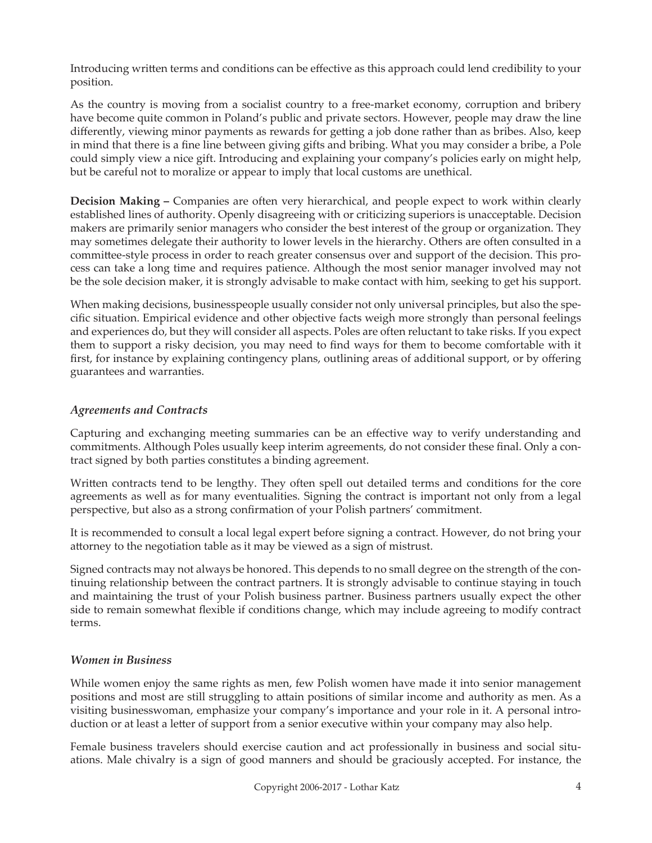Introducing written terms and conditions can be effective as this approach could lend credibility to your position.

As the country is moving from a socialist country to a free-market economy, corruption and bribery have become quite common in Poland's public and private sectors. However, people may draw the line differently, viewing minor payments as rewards for getting a job done rather than as bribes. Also, keep in mind that there is a fine line between giving gifts and bribing. What you may consider a bribe, a Pole could simply view a nice gift. Introducing and explaining your company's policies early on might help, but be careful not to moralize or appear to imply that local customs are unethical.

**Decision Making –** Companies are often very hierarchical, and people expect to work within clearly established lines of authority. Openly disagreeing with or criticizing superiors is unacceptable. Decision makers are primarily senior managers who consider the best interest of the group or organization. They may sometimes delegate their authority to lower levels in the hierarchy. Others are often consulted in a committee-style process in order to reach greater consensus over and support of the decision. This process can take a long time and requires patience. Although the most senior manager involved may not be the sole decision maker, it is strongly advisable to make contact with him, seeking to get his support.

When making decisions, businesspeople usually consider not only universal principles, but also the specific situation. Empirical evidence and other objective facts weigh more strongly than personal feelings and experiences do, but they will consider all aspects. Poles are often reluctant to take risks. If you expect them to support a risky decision, you may need to find ways for them to become comfortable with it first, for instance by explaining contingency plans, outlining areas of additional support, or by offering guarantees and warranties.

## *Agreements and Contracts*

Capturing and exchanging meeting summaries can be an effective way to verify understanding and commitments. Although Poles usually keep interim agreements, do not consider these final. Only a contract signed by both parties constitutes a binding agreement.

Written contracts tend to be lengthy. They often spell out detailed terms and conditions for the core agreements as well as for many eventualities. Signing the contract is important not only from a legal perspective, but also as a strong confirmation of your Polish partners' commitment.

It is recommended to consult a local legal expert before signing a contract. However, do not bring your attorney to the negotiation table as it may be viewed as a sign of mistrust.

Signed contracts may not always be honored. This depends to no small degree on the strength of the continuing relationship between the contract partners. It is strongly advisable to continue staying in touch and maintaining the trust of your Polish business partner. Business partners usually expect the other side to remain somewhat flexible if conditions change, which may include agreeing to modify contract terms.

## *Women in Business*

While women enjoy the same rights as men, few Polish women have made it into senior management positions and most are still struggling to attain positions of similar income and authority as men. As a visiting businesswoman, emphasize your company's importance and your role in it. A personal introduction or at least a letter of support from a senior executive within your company may also help.

Female business travelers should exercise caution and act professionally in business and social situations. Male chivalry is a sign of good manners and should be graciously accepted. For instance, the